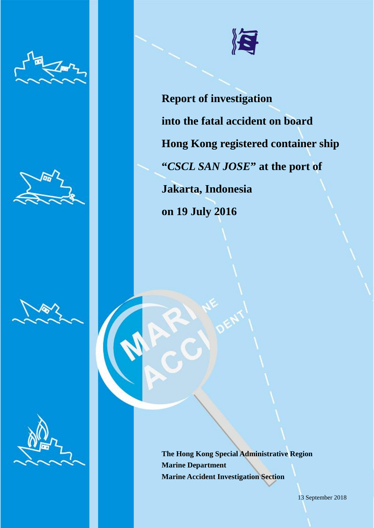







**Report of investigation into the fatal accident on board Hong Kong registered container ship "***CSCL SAN JOSE***" at the port of Jakarta, Indonesia on 19 July 2016**

**The Hong Kong Special Administrative Region Marine Department Marine Accident Investigation Section**

13 September 2018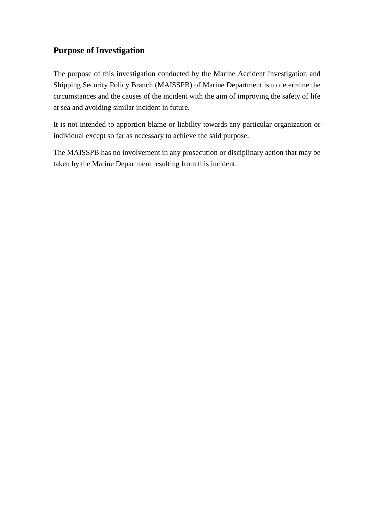## **Purpose of Investigation**

The purpose of this investigation conducted by the Marine Accident Investigation and Shipping Security Policy Branch (MAISSPB) of Marine Department is to determine the circumstances and the causes of the incident with the aim of improving the safety of life at sea and avoiding similar incident in future.

It is not intended to apportion blame or liability towards any particular organization or individual except so far as necessary to achieve the said purpose.

The MAISSPB has no involvement in any prosecution or disciplinary action that may be taken by the Marine Department resulting from this incident.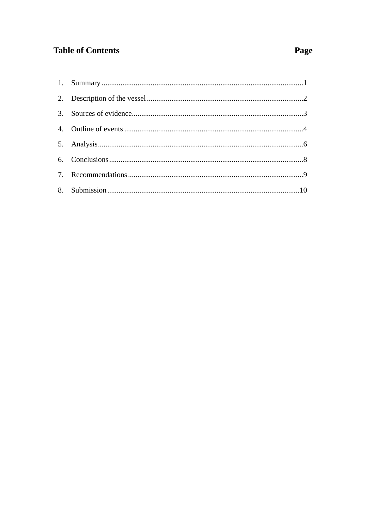## **Table of Contents**

# Page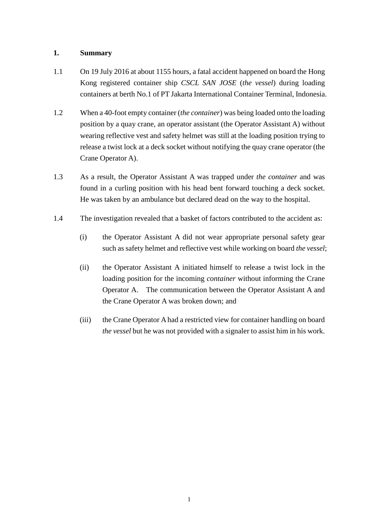#### <span id="page-3-0"></span>**1. Summary**

- 1.1 On 19 July 2016 at about 1155 hours, a fatal accident happened on board the Hong Kong registered container ship *CSCL SAN JOSE* (*the vessel*) during loading containers at berth No.1 of PT Jakarta International Container Terminal, Indonesia.
- 1.2 When a 40-foot empty container (*the container*) was being loaded onto the loading position by a quay crane, an operator assistant (the Operator Assistant A) without wearing reflective vest and safety helmet was still at the loading position trying to release a twist lock at a deck socket without notifying the quay crane operator (the Crane Operator A).
- 1.3 As a result, the Operator Assistant A was trapped under *the container* and was found in a curling position with his head bent forward touching a deck socket. He was taken by an ambulance but declared dead on the way to the hospital.
- <span id="page-3-1"></span>1.4 The investigation revealed that a basket of factors contributed to the accident as:
	- (i) the Operator Assistant A did not wear appropriate personal safety gear such as safety helmet and reflective vest while working on board *the vessel*;
	- (ii) the Operator Assistant A initiated himself to release a twist lock in the loading position for the incoming *container* without informing the Crane Operator A. The communication between the Operator Assistant A and the Crane Operator A was broken down; and
	- (iii) the Crane Operator A had a restricted view for container handling on board *the vessel* but he was not provided with a signaler to assist him in his work.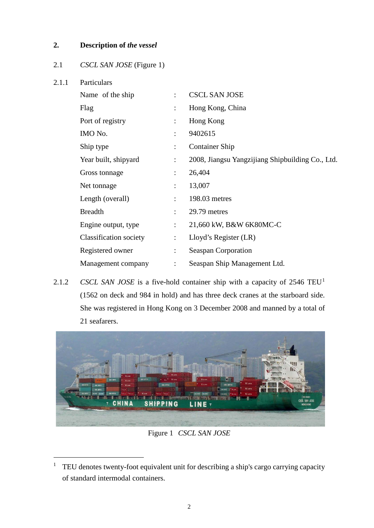### **2. Description of** *the vessel*

#### 2.1 *CSCL SAN JOSE* (Figure 1)

| 2.1.1 | Particulars            |                      |                                                  |  |  |
|-------|------------------------|----------------------|--------------------------------------------------|--|--|
|       | Name of the ship       | ÷                    | <b>CSCL SAN JOSE</b>                             |  |  |
|       | Flag                   |                      | Hong Kong, China                                 |  |  |
|       | Port of registry       |                      | Hong Kong                                        |  |  |
|       | IMO No.                |                      | 9402615                                          |  |  |
|       | Ship type              |                      | <b>Container Ship</b>                            |  |  |
|       | Year built, shipyard   | $\ddot{\cdot}$       | 2008, Jiangsu Yangzijiang Shipbuilding Co., Ltd. |  |  |
|       | Gross tonnage          |                      | 26,404                                           |  |  |
|       | Net tonnage            | $\ddot{\phantom{a}}$ | 13,007                                           |  |  |
|       | Length (overall)       | ÷                    | 198.03 metres                                    |  |  |
|       | <b>Breadth</b>         | ÷                    | 29.79 metres                                     |  |  |
|       | Engine output, type    | $\ddot{\cdot}$       | 21,660 kW, B&W 6K80MC-C                          |  |  |
|       | Classification society | $\colon$             | Lloyd's Register (LR)                            |  |  |
|       | Registered owner       | $\ddot{\cdot}$       | <b>Seaspan Corporation</b>                       |  |  |
|       | Management company     |                      | Seaspan Ship Management Ltd.                     |  |  |

2.[1](#page-4-0).2 *CSCL SAN JOSE* is a five-hold container ship with a capacity of 2546 TEU<sup>1</sup> (1562 on deck and 984 in hold) and has three deck cranes at the starboard side. She was registered in Hong Kong on 3 December 2008 and manned by a total of 21 seafarers.



Figure 1 *CSCL SAN JOSE*

<span id="page-4-0"></span><sup>&</sup>lt;sup>1</sup> TEU denotes twenty-foot equivalent unit for describing a ship's cargo carrying capacity of standard intermodal containers.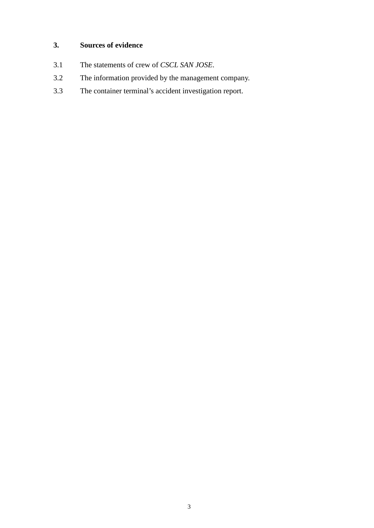#### <span id="page-5-0"></span>**3. Sources of evidence**

- 3.1 The statements of crew of *CSCL SAN JOSE*.
- 3.2 The information provided by the management company.
- 3.3 The container terminal's accident investigation report.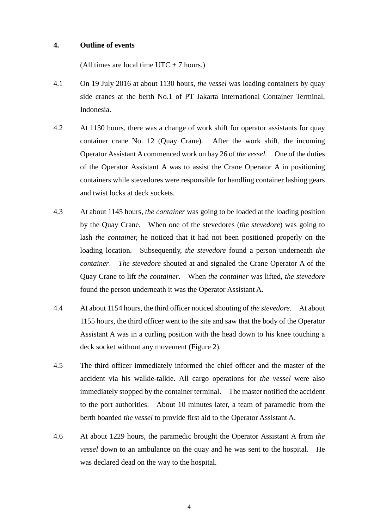#### <span id="page-6-0"></span>**4. Outline of events**

(All times are local time UTC  $+ 7$  hours.)

- 4.1 On 19 July 2016 at about 1130 hours, *the vessel* was loading containers by quay side cranes at the berth No.1 of PT Jakarta International Container Terminal, Indonesia.
- 4.2 At 1130 hours, there was a change of work shift for operator assistants for quay container crane No. 12 (Quay Crane). After the work shift, the incoming Operator Assistant A commenced work on bay 26 of *the vessel*. One of the duties of the Operator Assistant A was to assist the Crane Operator A in positioning containers while stevedores were responsible for handling container lashing gears and twist locks at deck sockets.
- 4.3 At about 1145 hours, *the container* was going to be loaded at the loading position by the Quay Crane. When one of the stevedores (*the stevedore*) was going to lash *the container,* he noticed that it had not been positioned properly on the loading location. Subsequently, *the stevedore* found a person underneath *the container*. *The stevedore* shouted at and signaled the Crane Operator A of the Quay Crane to lift *the container*. When *the container* was lifted, *the stevedore* found the person underneath it was the Operator Assistant A.
- 4.4 At about 1154 hours, the third officer noticed shouting of *the stevedore*. At about 1155 hours, the third officer went to the site and saw that the body of the Operator Assistant A was in a curling position with the head down to his knee touching a deck socket without any movement (Figure 2).
- 4.5 The third officer immediately informed the chief officer and the master of the accident via his walkie-talkie. All cargo operations for *the vessel* were also immediately stopped by the container terminal. The master notified the accident to the port authorities. About 10 minutes later, a team of paramedic from the berth boarded *the vessel* to provide first aid to the Operator Assistant A.
- 4.6 At about 1229 hours, the paramedic brought the Operator Assistant A from *the vessel* down to an ambulance on the quay and he was sent to the hospital. He was declared dead on the way to the hospital.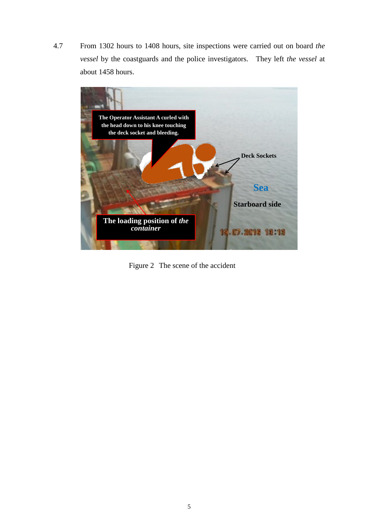4.7 From 1302 hours to 1408 hours, site inspections were carried out on board *the vessel* by the coastguards and the police investigators. They left *the vessel* at about 1458 hours.



Figure 2 The scene of the accident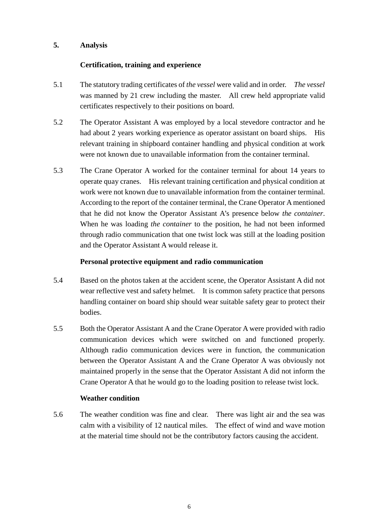#### <span id="page-8-0"></span>**5. Analysis**

#### **Certification, training and experience**

- 5.1 The statutory trading certificates of *the vessel* were valid and in order. *The vessel*  was manned by 21 crew including the master. All crew held appropriate valid certificates respectively to their positions on board.
- 5.2 The Operator Assistant A was employed by a local stevedore contractor and he had about 2 years working experience as operator assistant on board ships. His relevant training in shipboard container handling and physical condition at work were not known due to unavailable information from the container terminal.
- 5.3 The Crane Operator A worked for the container terminal for about 14 years to operate quay cranes. His relevant training certification and physical condition at work were not known due to unavailable information from the container terminal. According to the report of the container terminal, the Crane Operator Amentioned that he did not know the Operator Assistant A's presence below *the container*. When he was loading *the container* to the position, he had not been informed through radio communication that one twist lock was still at the loading position and the Operator Assistant A would release it.

#### **Personal protective equipment and radio communication**

- 5.4 Based on the photos taken at the accident scene, the Operator Assistant A did not wear reflective vest and safety helmet. It is common safety practice that persons handling container on board ship should wear suitable safety gear to protect their bodies.
- 5.5 Both the Operator Assistant A and the Crane Operator A were provided with radio communication devices which were switched on and functioned properly. Although radio communication devices were in function, the communication between the Operator Assistant A and the Crane Operator A was obviously not maintained properly in the sense that the Operator Assistant A did not inform the Crane Operator A that he would go to the loading position to release twist lock.

#### **Weather condition**

5.6 The weather condition was fine and clear. There was light air and the sea was calm with a visibility of 12 nautical miles. The effect of wind and wave motion at the material time should not be the contributory factors causing the accident.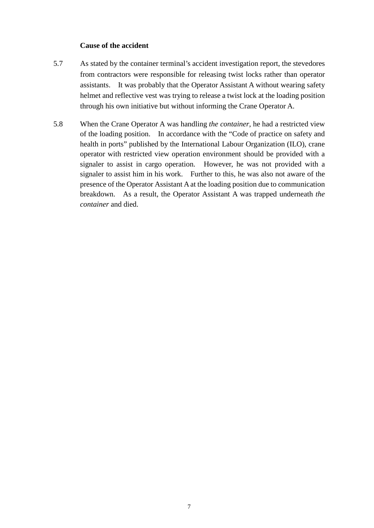#### **Cause of the accident**

- 5.7 As stated by the container terminal's accident investigation report, the stevedores from contractors were responsible for releasing twist locks rather than operator assistants. It was probably that the Operator Assistant A without wearing safety helmet and reflective vest was trying to release a twist lock at the loading position through his own initiative but without informing the Crane Operator A.
- 5.8 When the Crane Operator A was handling *the container*, he had a restricted view of the loading position. In accordance with the "Code of practice on safety and health in ports" published by the International Labour Organization (ILO), crane operator with restricted view operation environment should be provided with a signaler to assist in cargo operation. However, he was not provided with a signaler to assist him in his work. Further to this, he was also not aware of the presence of the Operator Assistant A at the loading position due to communication breakdown. As a result, the Operator Assistant A was trapped underneath *the container* and died.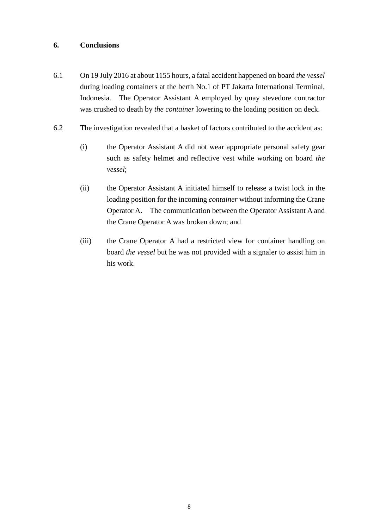#### <span id="page-10-0"></span>**6. Conclusions**

- 6.1 On 19 July 2016 at about 1155 hours, a fatal accident happened on board *the vessel*  during loading containers at the berth No.1 of PT Jakarta International Terminal, Indonesia. The Operator Assistant A employed by quay stevedore contractor was crushed to death by *the container* lowering to the loading position on deck.
- 6.2 The investigation revealed that a basket of factors contributed to the accident as:
	- (i) the Operator Assistant A did not wear appropriate personal safety gear such as safety helmet and reflective vest while working on board *the vessel*;
	- (ii) the Operator Assistant A initiated himself to release a twist lock in the loading position for the incoming *container* without informing the Crane Operator A. The communication between the Operator Assistant A and the Crane Operator A was broken down; and
	- (iii) the Crane Operator A had a restricted view for container handling on board *the vessel* but he was not provided with a signaler to assist him in his work.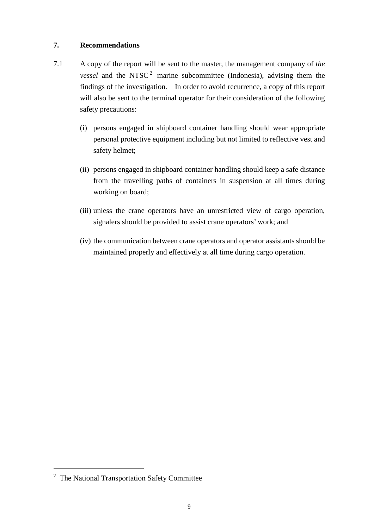#### <span id="page-11-0"></span>**7. Recommendations**

- 7.1 A copy of the report will be sent to the master, the management company of *the vessel* and the NTSC<sup>[2](#page-11-1)</sup> marine subcommittee (Indonesia), advising them the findings of the investigation. In order to avoid recurrence, a copy of this report will also be sent to the terminal operator for their consideration of the following safety precautions:
	- (i) persons engaged in shipboard container handling should wear appropriate personal protective equipment including but not limited to reflective vest and safety helmet;
	- (ii) persons engaged in shipboard container handling should keep a safe distance from the travelling paths of containers in suspension at all times during working on board;
	- (iii) unless the crane operators have an unrestricted view of cargo operation, signalers should be provided to assist crane operators' work; and
	- (iv) the communication between crane operators and operator assistants should be maintained properly and effectively at all time during cargo operation.

<span id="page-11-1"></span> <sup>2</sup> The National Transportation Safety Committee